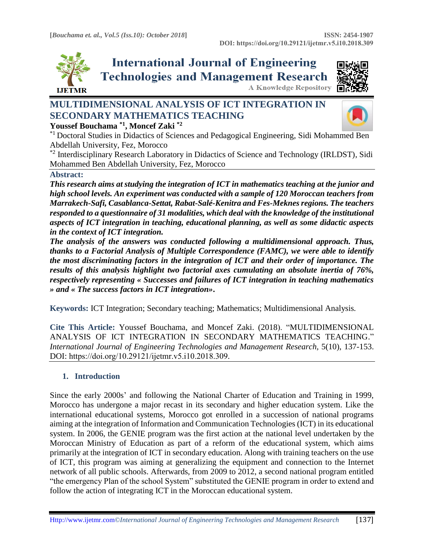**Youssef Bouchama \*1, Moncef Zaki \*2**

**A Knowledge Repository** 



**International Journal of Engineering Technologies and Management Research** 



# **MULTIDIMENSIONAL ANALYSIS OF ICT INTEGRATION IN SECONDARY MATHEMATICS TEACHING**



\*1 Doctoral Studies in Didactics of Sciences and Pedagogical Engineering, Sidi Mohammed Ben Abdellah University, Fez, Morocco

\*<sup>2</sup> Interdisciplinary Research Laboratory in Didactics of Science and Technology (IRLDST), Sidi Mohammed Ben Abdellah University, Fez, Morocco

### **Abstract:**

*This research aims at studying the integration of ICT in mathematics teaching at the junior and high school levels. An experiment was conducted with a sample of 120 Moroccan teachers from Marrakech-Safi, Casablanca-Settat, Rabat-Salé-Kenitra and Fes-Meknes regions. The teachers responded to a questionnaire of 31 modalities, which deal with the knowledge of the institutional aspects of ICT integration in teaching, educational planning, as well as some didactic aspects in the context of ICT integration.* 

*The analysis of the answers was conducted following a multidimensional approach. Thus, thanks to a Factorial Analysis of Multiple Correspondence (FAMC), we were able to identify the most discriminating factors in the integration of ICT and their order of importance. The results of this analysis highlight two factorial axes cumulating an absolute inertia of 76%, respectively representing « Successes and failures of ICT integration in teaching mathematics » and « The success factors in ICT integration»***.**

**Keywords:** ICT Integration; Secondary teaching; Mathematics; Multidimensional Analysis*.* 

**Cite This Article:** Youssef Bouchama, and Moncef Zaki. (2018). "MULTIDIMENSIONAL ANALYSIS OF ICT INTEGRATION IN SECONDARY MATHEMATICS TEACHING." *International Journal of Engineering Technologies and Management Research, 5(10), 137-153.* DOI: https://doi.org/10.29121/ijetmr.v5.i10.2018.309.

# **1. Introduction**

Since the early 2000s' and following the National Charter of Education and Training in 1999, Morocco has undergone a major recast in its secondary and higher education system. Like the international educational systems, Morocco got enrolled in a succession of national programs aiming at the integration of Information and Communication Technologies (ICT) in its educational system. In 2006, the GENIE program was the first action at the national level undertaken by the Moroccan Ministry of Education as part of a reform of the educational system, which aims primarily at the integration of ICT in secondary education. Along with training teachers on the use of ICT, this program was aiming at generalizing the equipment and connection to the Internet network of all public schools. Afterwards, from 2009 to 2012, a second national program entitled "the emergency Plan of the school System" substituted the GENIE program in order to extend and follow the action of integrating ICT in the Moroccan educational system.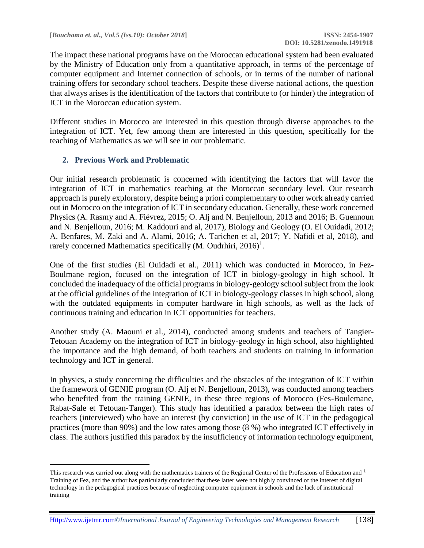The impact these national programs have on the Moroccan educational system had been evaluated by the Ministry of Education only from a quantitative approach, in terms of the percentage of computer equipment and Internet connection of schools, or in terms of the number of national training offers for secondary school teachers. Despite these diverse national actions, the question that always arises is the identification of the factors that contribute to (or hinder) the integration of ICT in the Moroccan education system.

Different studies in Morocco are interested in this question through diverse approaches to the integration of ICT. Yet, few among them are interested in this question, specifically for the teaching of Mathematics as we will see in our problematic.

### **2. Previous Work and Problematic**

l

Our initial research problematic is concerned with identifying the factors that will favor the integration of ICT in mathematics teaching at the Moroccan secondary level. Our research approach is purely exploratory, despite being a priori complementary to other work already carried out in Morocco on the integration of ICT in secondary education. Generally, these work concerned Physics (A. Rasmy and A. Fiévrez, 2015; O. Alj and N. Benjelloun, 2013 and 2016; B. Guennoun and N. Benjelloun, 2016; M. Kaddouri and al, 2017), Biology and Geology (O. El Ouidadi, 2012; A. Benfares, M. Zaki and A. Alami, 2016; A. Tarichen et al, 2017; Y. Nafidi et al, 2018), and rarely concerned Mathematics specifically  $(M.$  Oudrhiri,  $2016)^1$ .

One of the first studies (El Ouidadi et al., 2011) which was conducted in Morocco, in Fez-Boulmane region, focused on the integration of ICT in biology-geology in high school. It concluded the inadequacy of the official programs in biology-geology school subject from the look at the official guidelines of the integration of ICT in biology-geology classes in high school, along with the outdated equipments in computer hardware in high schools, as well as the lack of continuous training and education in ICT opportunities for teachers.

Another study (A. Maouni et al., 2014), conducted among students and teachers of Tangier-Tetouan Academy on the integration of ICT in biology-geology in high school, also highlighted the importance and the high demand, of both teachers and students on training in information technology and ICT in general.

In physics, a study concerning the difficulties and the obstacles of the integration of ICT within the framework of GENIE program (O. Alj et N. Benjelloun, 2013), was conducted among teachers who benefited from the training GENIE, in these three regions of Morocco (Fes-Boulemane, Rabat-Sale et Tetouan-Tanger). This study has identified a paradox between the high rates of teachers (interviewed) who have an interest (by conviction) in the use of ICT in the pedagogical practices (more than 90%) and the low rates among those (8 %) who integrated ICT effectively in class. The authors justified this paradox by the insufficiency of information technology equipment,

This research was carried out along with the mathematics trainers of the Regional Center of the Professions of Education and  $1$ Training of Fez, and the author has particularly concluded that these latter were not highly convinced of the interest of digital technology in the pedagogical practices because of neglecting computer equipment in schools and the lack of institutional training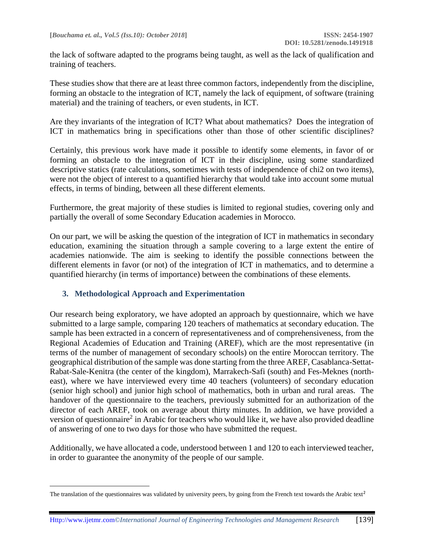the lack of software adapted to the programs being taught, as well as the lack of qualification and training of teachers.

These studies show that there are at least three common factors, independently from the discipline, forming an obstacle to the integration of ICT, namely the lack of equipment, of software (training material) and the training of teachers, or even students, in ICT.

Are they invariants of the integration of ICT? What about mathematics? Does the integration of ICT in mathematics bring in specifications other than those of other scientific disciplines?

Certainly, this previous work have made it possible to identify some elements, in favor of or forming an obstacle to the integration of ICT in their discipline, using some standardized descriptive statics (rate calculations, sometimes with tests of independence of chi2 on two items), were not the object of interest to a quantified hierarchy that would take into account some mutual effects, in terms of binding, between all these different elements.

Furthermore, the great majority of these studies is limited to regional studies, covering only and partially the overall of some Secondary Education academies in Morocco.

On our part, we will be asking the question of the integration of ICT in mathematics in secondary education, examining the situation through a sample covering to a large extent the entire of academies nationwide. The aim is seeking to identify the possible connections between the different elements in favor (or not) of the integration of ICT in mathematics, and to determine a quantified hierarchy (in terms of importance) between the combinations of these elements.

### **3. Methodological Approach and Experimentation**

 $\overline{\phantom{a}}$ 

Our research being exploratory, we have adopted an approach by questionnaire, which we have submitted to a large sample, comparing 120 teachers of mathematics at secondary education. The sample has been extracted in a concern of representativeness and of comprehensiveness, from the Regional Academies of Education and Training (AREF), which are the most representative (in terms of the number of management of secondary schools) on the entire Moroccan territory. The geographical distribution of the sample was done starting from the three AREF, Casablanca-Settat-Rabat-Sale-Kenitra (the center of the kingdom), Marrakech-Safi (south) and Fes-Meknes (northeast), where we have interviewed every time 40 teachers (volunteers) of secondary education (senior high school) and junior high school of mathematics, both in urban and rural areas. The handover of the questionnaire to the teachers, previously submitted for an authorization of the director of each AREF, took on average about thirty minutes. In addition, we have provided a version of questionnaire<sup>2</sup> in Arabic for teachers who would like it, we have also provided deadline of answering of one to two days for those who have submitted the request.

Additionally, we have allocated a code, understood between 1 and 120 to each interviewed teacher, in order to guarantee the anonymity of the people of our sample.

The translation of the questionnaires was validated by university peers, by going from the French text towards the Arabic text<sup>2</sup>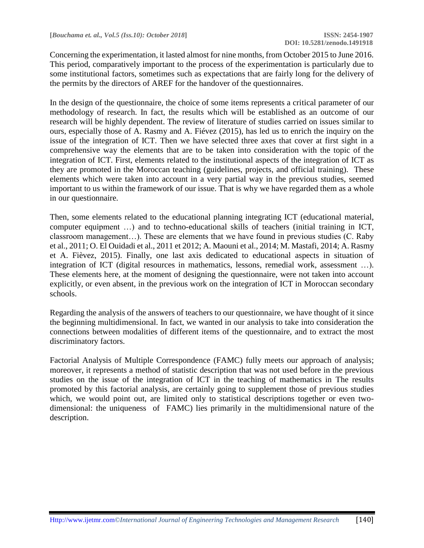Concerning the experimentation, it lasted almost for nine months, from October 2015 to June 2016. This period, comparatively important to the process of the experimentation is particularly due to some institutional factors, sometimes such as expectations that are fairly long for the delivery of the permits by the directors of AREF for the handover of the questionnaires.

In the design of the questionnaire, the choice of some items represents a critical parameter of our methodology of research. In fact, the results which will be established as an outcome of our research will be highly dependent. The review of literature of studies carried on issues similar to ours, especially those of A. Rasmy and A. Fiévez (2015), has led us to enrich the inquiry on the issue of the integration of ICT. Then we have selected three axes that cover at first sight in a comprehensive way the elements that are to be taken into consideration with the topic of the integration of ICT. First, elements related to the institutional aspects of the integration of ICT as they are promoted in the Moroccan teaching (guidelines, projects, and official training). These elements which were taken into account in a very partial way in the previous studies, seemed important to us within the framework of our issue. That is why we have regarded them as a whole in our questionnaire.

Then, some elements related to the educational planning integrating ICT (educational material, computer equipment …) and to techno-educational skills of teachers (initial training in ICT, classroom management…). These are elements that we have found in previous studies (C. Raby et al., 2011; O. El Ouidadi et al., 2011 et 2012; A. Maouni et al., 2014; M. Mastafi, 2014; A. Rasmy et A. Fièvez, 2015). Finally, one last axis dedicated to educational aspects in situation of integration of ICT (digital resources in mathematics, lessons, remedial work, assessment …). These elements here, at the moment of designing the questionnaire, were not taken into account explicitly, or even absent, in the previous work on the integration of ICT in Moroccan secondary schools.

Regarding the analysis of the answers of teachers to our questionnaire, we have thought of it since the beginning multidimensional. In fact, we wanted in our analysis to take into consideration the connections between modalities of different items of the questionnaire, and to extract the most discriminatory factors.

Factorial Analysis of Multiple Correspondence (FAMC) fully meets our approach of analysis; moreover, it represents a method of statistic description that was not used before in the previous studies on the issue of the integration of ICT in the teaching of mathematics in The results promoted by this factorial analysis, are certainly going to supplement those of previous studies which, we would point out, are limited only to statistical descriptions together or even twodimensional: the uniqueness of FAMC) lies primarily in the multidimensional nature of the description.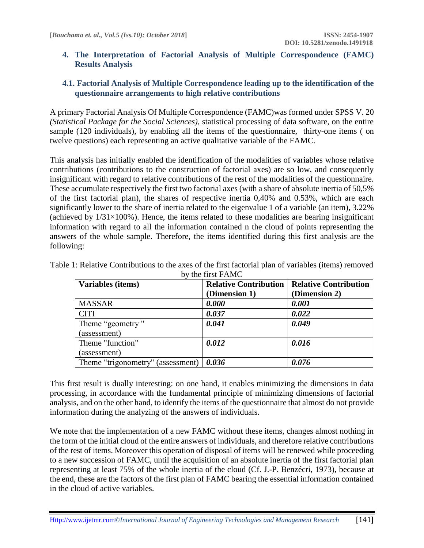#### **4. The Interpretation of Factorial Analysis of Multiple Correspondence (FAMC) Results Analysis**

## **4.1. Factorial Analysis of Multiple Correspondence leading up to the identification of the questionnaire arrangements to high relative contributions**

A primary Factorial Analysis Of Multiple Correspondence (FAMC)was formed under SPSS V. 20 *(Statistical Package for the Social Sciences),* statistical processing of data software, on the entire sample (120 individuals), by enabling all the items of the questionnaire, thirty-one items ( on twelve questions) each representing an active qualitative variable of the FAMC.

This analysis has initially enabled the identification of the modalities of variables whose relative contributions (contributions to the construction of factorial axes) are so low, and consequently insignificant with regard to relative contributions of the rest of the modalities of the questionnaire. These accumulate respectively the first two factorial axes (with a share of absolute inertia of 50,5% of the first factorial plan), the shares of respective inertia 0,40% and 0.53%, which are each significantly lower to the share of inertia related to the eigenvalue 1 of a variable (an item), 3.22% (achieved by  $1/31\times100\%$ ). Hence, the items related to these modalities are bearing insignificant information with regard to all the information contained n the cloud of points representing the answers of the whole sample. Therefore, the items identified during this first analysis are the following:

| Variables (items)                 | <b>Relative Contribution</b><br>(Dimension 1) | <b>Relative Contribution</b><br>(Dimension 2) |
|-----------------------------------|-----------------------------------------------|-----------------------------------------------|
| <b>MASSAR</b>                     | 0.000                                         | 0.001                                         |
| <b>CITI</b>                       | 0.037                                         | 0.022                                         |
| Theme "geometry"                  | 0.041                                         | 0.049                                         |
| (assessment)                      |                                               |                                               |
| Theme "function"                  | 0.012                                         | 0.016                                         |
| (assessment)                      |                                               |                                               |
| Theme "trigonometry" (assessment) | 0.036                                         | 0.076                                         |

Table 1: Relative Contributions to the axes of the first factorial plan of variables (items) removed by the first FAMC

This first result is dually interesting: on one hand, it enables minimizing the dimensions in data processing, in accordance with the fundamental principle of minimizing dimensions of factorial analysis, and on the other hand, to identify the items of the questionnaire that almost do not provide information during the analyzing of the answers of individuals.

We note that the implementation of a new FAMC without these items, changes almost nothing in the form of the initial cloud of the entire answers of individuals, and therefore relative contributions of the rest of items. Moreover this operation of disposal of items will be renewed while proceeding to a new succession of FAMC, until the acquisition of an absolute inertia of the first factorial plan representing at least 75% of the whole inertia of the cloud (Cf. J.-P. Benzécri, 1973), because at the end, these are the factors of the first plan of FAMC bearing the essential information contained in the cloud of active variables.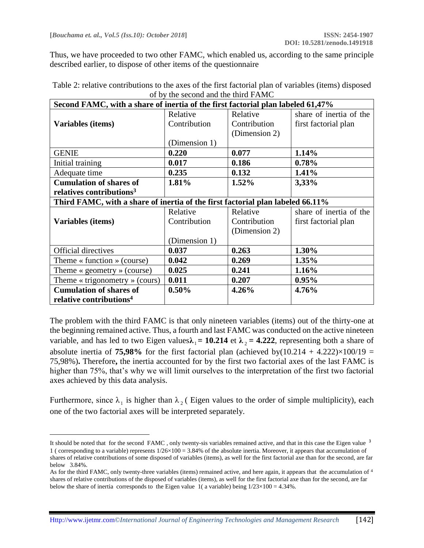$\overline{\phantom{a}}$ 

Thus, we have proceeded to two other FAMC, which enabled us, according to the same principle described earlier, to dispose of other items of the questionnaire

| Second FAMC, with a share of inertia of the first factorial plan labeled 61,47% |               |               |                         |
|---------------------------------------------------------------------------------|---------------|---------------|-------------------------|
|                                                                                 | Relative      | Relative      | share of inertia of the |
| Variables (items)                                                               | Contribution  | Contribution  | first factorial plan    |
|                                                                                 |               | (Dimension 2) |                         |
|                                                                                 | (Dimension 1) |               |                         |
| <b>GENIE</b>                                                                    | 0.220         | 0.077         | 1.14%                   |
| Initial training                                                                | 0.017         | 0.186         | 0.78%                   |
| Adequate time                                                                   | 0.235         | 0.132         | 1.41%                   |
| <b>Cumulation of shares of</b>                                                  | 1.81%         | $1.52\%$      | 3,33%                   |
| relatives contributions <sup>3</sup>                                            |               |               |                         |
| Third FAMC, with a share of inertia of the first factorial plan labeled 66.11%  |               |               |                         |
|                                                                                 | Relative      | Relative      | share of inertia of the |
| Variables (items)                                                               | Contribution  | Contribution  | first factorial plan    |
|                                                                                 |               | (Dimension 2) |                         |
|                                                                                 | (Dimension 1) |               |                         |
| <b>Official directives</b>                                                      | 0.037         | 0.263         | 1.30%                   |
| Theme $\ast$ function $\ast$ (course)                                           | 0.042         | 0.269         | 1.35%                   |
| Theme $\kappa$ geometry $\kappa$ (course)                                       | 0.025         | 0.241         | 1.16%                   |
| Theme « trigonometry » (cours)                                                  | 0.011         | 0.207         | 0.95%                   |
| <b>Cumulation of shares of</b>                                                  | 0.50%         | 4.26%         | 4.76%                   |
| relative contributions <sup>4</sup>                                             |               |               |                         |

Table 2: relative contributions to the axes of the first factorial plan of variables (items) disposed of by the second and the third FAMC

The problem with the third FAMC is that only nineteen variables (items) out of the thirty-one at the beginning remained active. Thus, a fourth and last FAMC was conducted on the active nineteen variable, and has led to two Eigen values $\lambda_1 = 10.214$  et  $\lambda_2 = 4.222$ , representing both a share of absolute inertia of **75,98%** for the first factorial plan (achieved by $(10.214 + 4.222) \times 100/19 =$ 75,98%)**.** Therefore**,** the inertia accounted for by the first two factorial axes of the last FAMC is higher than 75%, that's why we will limit ourselves to the interpretation of the first two factorial axes achieved by this data analysis.

Furthermore, since  $\lambda_1$  is higher than  $\lambda_2$  (Eigen values to the order of simple multiplicity), each one of the two factorial axes will be interpreted separately.

It should be noted that for the second FAMC, only twenty-sis variables remained active, and that in this case the Eigen value <sup>3</sup> 1 ( corresponding to a variable) represents  $1/26 \times 100 = 3.84\%$  of the absolute inertia. Moreover, it appears that accumulation of shares of relative contributions of some disposed of variables (items), as well for the first factorial axe than for the second, are far below 3.84%.

As for the third FAMC, only twenty-three variables (items) remained active, and here again, it appears that the accumulation of <sup>4</sup> shares of relative contributions of the disposed of variables (items), as well for the first factorial axe than for the second, are far below the share of inertia corresponds to the Eigen value 1( a variable) being  $1/23\times100 = 4.34\%$ .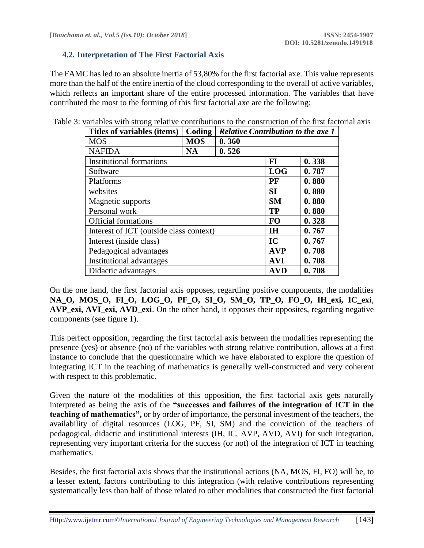#### **4.2. Interpretation of The First Factorial Axis**

The FAMC has led to an absolute inertia of 53,80% for the first factorial axe. This value represents more than the half of the entire inertia of the cloud corresponding to the overall of active variables, which reflects an important share of the entire processed information. The variables that have contributed the most to the forming of this first factorial axe are the following:

| Titles of variables (items)             | Coding     | <b>Relative Contribution to the axe 1</b> |            |       |
|-----------------------------------------|------------|-------------------------------------------|------------|-------|
| <b>MOS</b>                              | <b>MOS</b> | 0.360                                     |            |       |
| <b>NAFIDA</b>                           | <b>NA</b>  | 0.526                                     |            |       |
| Institutional formations                |            |                                           | FI         | 0.338 |
| Software                                |            |                                           | <b>LOG</b> | 0.787 |
| Platforms                               |            |                                           | PF         | 0.880 |
| websites                                |            |                                           | <b>SI</b>  | 0.880 |
| Magnetic supports                       |            |                                           | <b>SM</b>  | 0.880 |
| Personal work                           |            |                                           | <b>TP</b>  | 0.880 |
| <b>Official formations</b>              |            |                                           | <b>FO</b>  | 0.328 |
| Interest of ICT (outside class context) |            |                                           | <b>IH</b>  | 0.767 |
| Interest (inside class)                 |            |                                           | IC         | 0.767 |
| Pedagogical advantages                  |            |                                           | <b>AVP</b> | 0.708 |
| Institutional advantages                |            |                                           | <b>AVI</b> | 0.708 |
| Didactic advantages                     |            |                                           | <b>AVD</b> | 0.708 |

Table 3: variables with strong relative contributions to the construction of the first factorial axis

On the one hand, the first factorial axis opposes, regarding positive components, the modalities **NA\_O, MOS\_O, FI\_O, LOG\_O, PF\_O, SI\_O, SM\_O, TP\_O, FO\_O, IH\_exi, IC\_exi**, **AVP\_exi, AVI\_exi, AVD\_exi**. On the other hand, it opposes their opposites, regarding negative components (see figure 1).

This perfect opposition, regarding the first factorial axis between the modalities representing the presence (yes) or absence (no) of the variables with strong relative contribution, allows at a first instance to conclude that the questionnaire which we have elaborated to explore the question of integrating ICT in the teaching of mathematics is generally well-constructed and very coherent with respect to this problematic.

Given the nature of the modalities of this opposition, the first factorial axis gets naturally interpreted as being the axis of the **"successes and failures of the integration of ICT in the teaching of mathematics",** or by order of importance, the personal investment of the teachers, the availability of digital resources (LOG, PF, SI, SM) and the conviction of the teachers of pedagogical, didactic and institutional interests (IH, IC, AVP, AVD, AVI) for such integration, representing very important criteria for the success (or not) of the integration of ICT in teaching mathematics.

Besides, the first factorial axis shows that the institutional actions (NA, MOS, FI, FO) will be, to a lesser extent, factors contributing to this integration (with relative contributions representing systematically less than half of those related to other modalities that constructed the first factorial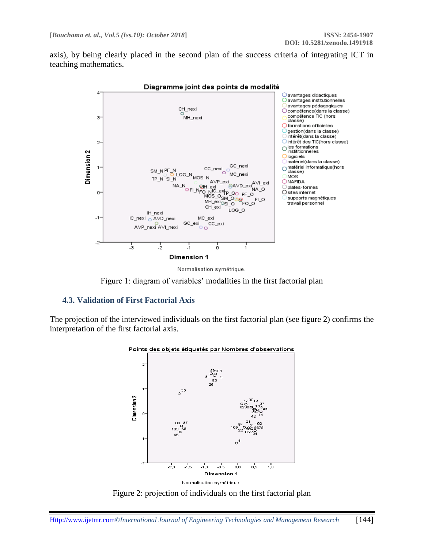axis), by being clearly placed in the second plan of the success criteria of integrating ICT in teaching mathematics.







Figure 1: diagram of variables' modalities in the first factorial plan

#### **4.3. Validation of First Factorial Axis**

The projection of the interviewed individuals on the first factorial plan (see figure 2) confirms the interpretation of the first factorial axis.



Points des objets étiquetés par Nombres d'observations

Figure 2: projection of individuals on the first factorial plan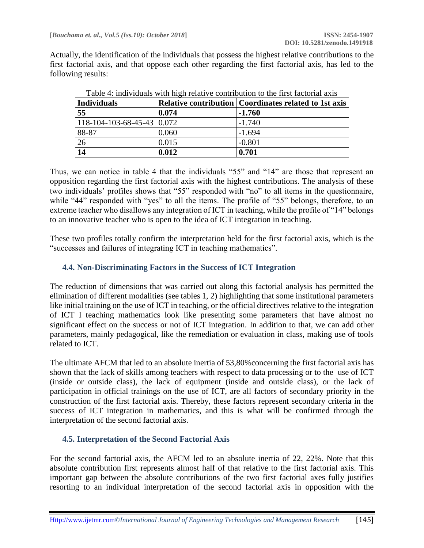Actually, the identification of the individuals that possess the highest relative contributions to the first factorial axis, and that oppose each other regarding the first factorial axis, has led to the following results:

| Individuals                                 |       | <b>Relative contribution   Coordinates related to 1st axis</b> |
|---------------------------------------------|-------|----------------------------------------------------------------|
| 55                                          | 0.074 | $-1.760$                                                       |
| $118 - 104 - 103 - 68 - 45 - 43 \mid 0.072$ |       | $-1.740$                                                       |
| 88-87                                       | 0.060 | $-1.694$                                                       |
| 26                                          | 0.015 | $-0.801$                                                       |
| 14                                          | 0.012 | 0.701                                                          |

Table 4: individuals with high relative contribution to the first factorial axis

Thus, we can notice in table 4 that the individuals "55" and "14" are those that represent an opposition regarding the first factorial axis with the highest contributions. The analysis of these two individuals' profiles shows that "55" responded with "no" to all items in the questionnaire, while "44" responded with "yes" to all the items. The profile of "55" belongs, therefore, to an extreme teacher who disallows any integration of ICT in teaching, while the profile of "14" belongs to an innovative teacher who is open to the idea of ICT integration in teaching.

These two profiles totally confirm the interpretation held for the first factorial axis, which is the "successes and failures of integrating ICT in teaching mathematics".

### **4.4. Non-Discriminating Factors in the Success of ICT Integration**

The reduction of dimensions that was carried out along this factorial analysis has permitted the elimination of different modalities (see tables 1, 2) highlighting that some institutional parameters like initial training on the use of ICT in teaching, or the official directives relative to the integration of ICT I teaching mathematics look like presenting some parameters that have almost no significant effect on the success or not of ICT integration. In addition to that, we can add other parameters, mainly pedagogical, like the remediation or evaluation in class, making use of tools related to ICT.

The ultimate AFCM that led to an absolute inertia of 53,80%concerning the first factorial axis has shown that the lack of skills among teachers with respect to data processing or to the use of ICT (inside or outside class), the lack of equipment (inside and outside class), or the lack of participation in official trainings on the use of ICT, are all factors of secondary priority in the construction of the first factorial axis. Thereby, these factors represent secondary criteria in the success of ICT integration in mathematics, and this is what will be confirmed through the interpretation of the second factorial axis.

### **4.5. Interpretation of the Second Factorial Axis**

For the second factorial axis, the AFCM led to an absolute inertia of 22, 22%. Note that this absolute contribution first represents almost half of that relative to the first factorial axis. This important gap between the absolute contributions of the two first factorial axes fully justifies resorting to an individual interpretation of the second factorial axis in opposition with the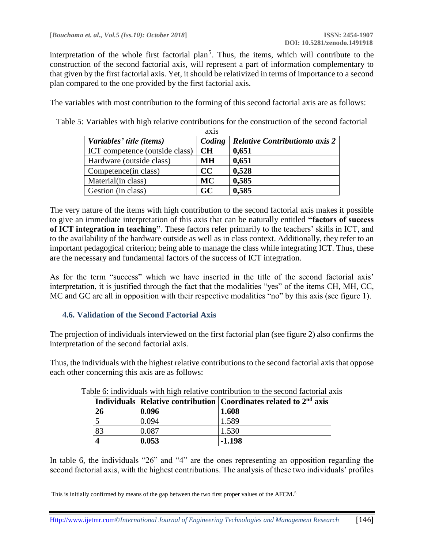interpretation of the whole first factorial plan<sup>5</sup>. Thus, the items, which will contribute to the construction of the second factorial axis, will represent a part of information complementary to that given by the first factorial axis. Yet, it should be relativized in terms of importance to a second plan compared to the one provided by the first factorial axis.

The variables with most contribution to the forming of this second factorial axis are as follows:

Table 5: Variables with high relative contributions for the construction of the second factorial  $\overline{a}$ 

|                                | AX IS     |                                       |
|--------------------------------|-----------|---------------------------------------|
| Variables' title (items)       | Coding    | <b>Relative Contributionto axis 2</b> |
| ICT competence (outside class) | CH        | 0,651                                 |
| Hardware (outside class)       | MН        | 0,651                                 |
| Competence (in class)          | CC        | 0,528                                 |
| Material(in class)             | <b>MC</b> | 0,585                                 |
| Gestion (in class)             | GC        | 0,585                                 |

The very nature of the items with high contribution to the second factorial axis makes it possible to give an immediate interpretation of this axis that can be naturally entitled **"factors of success of ICT integration in teaching"**. These factors refer primarily to the teachers' skills in ICT, and to the availability of the hardware outside as well as in class context. Additionally, they refer to an important pedagogical criterion; being able to manage the class while integrating ICT. Thus, these are the necessary and fundamental factors of the success of ICT integration.

As for the term "success" which we have inserted in the title of the second factorial axis' interpretation, it is justified through the fact that the modalities "yes" of the items CH, MH, CC, MC and GC are all in opposition with their respective modalities "no" by this axis (see figure 1).

#### **4.6. Validation of the Second Factorial Axis**

 $\overline{\phantom{a}}$ 

The projection of individuals interviewed on the first factorial plan (see figure 2) also confirms the interpretation of the second factorial axis.

Thus, the individuals with the highest relative contributions to the second factorial axis that oppose each other concerning this axis are as follows:

|    |       | Individuals   Relative contribution   Coordinates related to $2nd$ axis |
|----|-------|-------------------------------------------------------------------------|
| 26 | 0.096 | 1.608                                                                   |
|    | 0.094 | 1.589                                                                   |
| 83 | 0.087 | 1.530                                                                   |
|    | 0.053 | $-1.198$                                                                |

Table 6: individuals with high relative contribution to the second factorial axis

In table 6, the individuals "26" and "4" are the ones representing an opposition regarding the second factorial axis, with the highest contributions. The analysis of these two individuals' profiles

This is initially confirmed by means of the gap between the two first proper values of the AFCM.<sup>5</sup>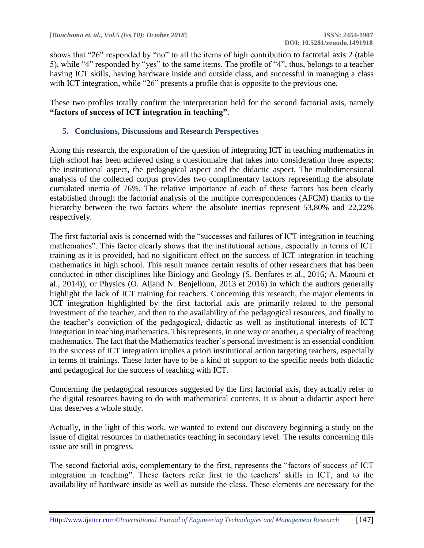shows that "26" responded by "no" to all the items of high contribution to factorial axis 2 (table 5), while "4" responded by "yes" to the same items. The profile of "4", thus, belongs to a teacher having ICT skills, having hardware inside and outside class, and successful in managing a class with ICT integration, while "26" presents a profile that is opposite to the previous one.

These two profiles totally confirm the interpretation held for the second factorial axis, namely **"factors of success of ICT integration in teaching"**.

### **5. Conclusions, Discussions and Research Perspectives**

Along this research, the exploration of the question of integrating ICT in teaching mathematics in high school has been achieved using a questionnaire that takes into consideration three aspects; the institutional aspect, the pedagogical aspect and the didactic aspect. The multidimensional analysis of the collected corpus provides two complimentary factors representing the absolute cumulated inertia of 76%. The relative importance of each of these factors has been clearly established through the factorial analysis of the multiple correspondences (AFCM) thanks to the hierarchy between the two factors where the absolute inertias represent 53,80% and 22,22% respectively.

The first factorial axis is concerned with the "successes and failures of ICT integration in teaching mathematics". This factor clearly shows that the institutional actions, especially in terms of ICT training as it is provided, had no significant effect on the success of ICT integration in teaching mathematics in high school. This result nuance certain results of other researchers that has been conducted in other disciplines like Biology and Geology (S. Benfares et al., 2016; A, Maouni et al., 2014)), or Physics (O. Aljand N. Benjelloun, 2013 et 2016) in which the authors generally highlight the lack of ICT training for teachers. Concerning this research, the major elements in ICT integration highlighted by the first factorial axis are primarily related to the personal investment of the teacher, and then to the availability of the pedagogical resources, and finally to the teacher's conviction of the pedagogical, didactic as well as institutional interests of ICT integration in teaching mathematics. This represents, in one way or another, a specialty of teaching mathematics. The fact that the Mathematics teacher's personal investment is an essential condition in the success of ICT integration implies a priori institutional action targeting teachers, especially in terms of trainings. These latter have to be a kind of support to the specific needs both didactic and pedagogical for the success of teaching with ICT.

Concerning the pedagogical resources suggested by the first factorial axis, they actually refer to the digital resources having to do with mathematical contents. It is about a didactic aspect here that deserves a whole study.

Actually, in the light of this work, we wanted to extend our discovery beginning a study on the issue of digital resources in mathematics teaching in secondary level. The results concerning this issue are still in progress.

The second factorial axis, complementary to the first, represents the "factors of success of ICT integration in teaching". These factors refer first to the teachers' skills in ICT, and to the availability of hardware inside as well as outside the class. These elements are necessary for the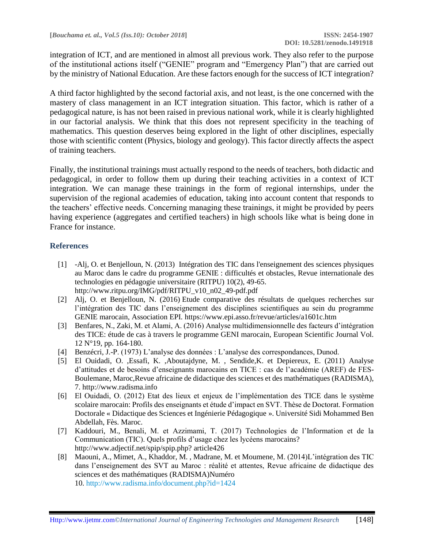integration of ICT, and are mentioned in almost all previous work. They also refer to the purpose of the institutional actions itself ("GENIE" program and "Emergency Plan") that are carried out by the ministry of National Education. Are these factors enough for the success of ICT integration?

A third factor highlighted by the second factorial axis, and not least, is the one concerned with the mastery of class management in an ICT integration situation. This factor, which is rather of a pedagogical nature, is has not been raised in previous national work, while it is clearly highlighted in our factorial analysis. We think that this does not represent specificity in the teaching of mathematics. This question deserves being explored in the light of other disciplines, especially those with scientific content (Physics, biology and geology). This factor directly affects the aspect of training teachers.

Finally, the institutional trainings must actually respond to the needs of teachers, both didactic and pedagogical, in order to follow them up during their teaching activities in a context of ICT integration. We can manage these trainings in the form of regional internships, under the supervision of the regional academies of education, taking into account content that responds to the teachers' effective needs. Concerning managing these trainings, it might be provided by peers having experience (aggregates and certified teachers) in high schools like what is being done in France for instance.

## **References**

- [1] -Alj, O. et Benjelloun, N. (2013) Intégration des TIC dans l'enseignement des sciences physiques au Maroc dans le cadre du programme GENIE : difficultés et obstacles, Revue internationale des technologies en pédagogie universitaire (RITPU) 10(2), 49-65. http://www.ritpu.org/IMG/pdf/RITPU\_v10\_n02\_49-pdf.pdf
- [2] Alj, O. et Benjelloun, N. (2016) Etude comparative des résultats de quelques recherches sur l'intégration des TIC dans l'enseignement des disciplines scientifiques au sein du programme GENIE marocain, Association EPI.<https://www.epi.asso.fr/revue/articles/a1601c.htm>
- [3] Benfares, N., Zaki, M. et Alami, A. (2016) Analyse multidimensionnelle des facteurs d'intégration des TICE: étude de cas à travers le programme GENI marocain, European Scientific Journal Vol. 12 N°19, pp. 164-180.
- [4] Benzécri, J.-P. (1973) L'analyse des données : L'analyse des correspondances, Dunod.
- [5] El Ouidadi, O. ,Essafi, K. ,Aboutajdyne, M. , Sendide,K. et Depiereux, E. (2011) Analyse d'attitudes et de besoins d'enseignants marocains en TICE : cas de l'académie (AREF) de FES-Boulemane, Maroc,Revue africaine de didactique des sciences et des mathématiques (RADISMA), 7. http://www.radisma.info
- [6] El Ouidadi, O. (2012) Etat des lieux et enjeux de l'implémentation des TICE dans le système scolaire marocain: Profils des enseignants et étude d'impact en SVT. Thèse de Doctorat. Formation Doctorale « Didactique des Sciences et Ingénierie Pédagogique ». Université Sidi Mohammed Ben Abdellah, Fès. Maroc.
- [7] Kaddouri, M., Benali, M. et Azzimami, T. (2017) Technologies de l'Information et de la Communication (TIC). Quels profils d'usage chez les lycéens marocains? http://www.adjectif.net/spip/spip.php? article426
- [8] Maouni, A., Mimet, A., Khaddor, M. , Madrane, M. et Moumene, M. (2014)L'intégration des TIC dans l'enseignement des SVT au Maroc : réalité et attentes, Revue africaine de didactique des sciences et des mathématiques (RADISMA)Numéro 10. <http://www.radisma.info/document.php?id=1424>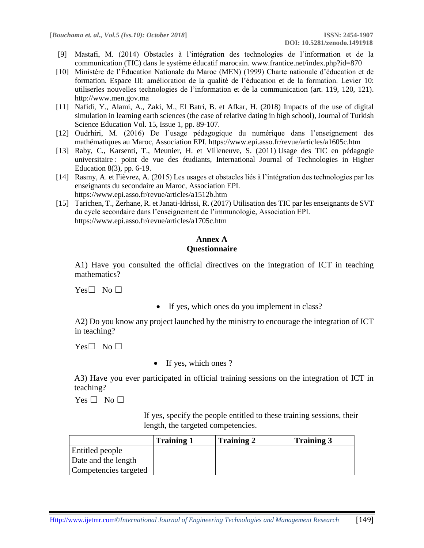- [9] Mastafi, M. (2014) Obstacles à l'intégration des technologies de l'information et de la communication (TIC) dans le système éducatif marocain. www.frantice.net/index.php?id=870
- [10] Ministère de l'Éducation Nationale du Maroc (MEN) (1999) Charte nationale d'éducation et de formation. Espace III: amélioration de la qualité de l'éducation et de la formation. Levier 10: utiliserles nouvelles technologies de l'information et de la communication (art. 119, 120, 121). http://www.men.gov.ma
- [11] Nafidi, Y., Alami, A., Zaki, M., El Batri, B. et Afkar, H. (2018) Impacts of the use of digital simulation in learning earth sciences (the case of relative dating in high school), Journal of Turkish Science Education Vol. 15, Issue 1, pp. 89-107.
- [12] Oudrhiri, M. (2016) De l'usage pédagogique du numérique dans l'enseignement des mathématiques au Maroc, Association EPI. https://www.epi.asso.fr/revue/articles/a1605c.htm
- [13] Raby, C., Karsenti, T., Meunier, H. et Villeneuve, S. (2011) Usage des TIC en pédagogie universitaire : point de vue des étudiants, International Journal of Technologies in Higher Education 8(3), pp. 6-19.
- [14] Rasmy, A. et Fièvrez, A. (2015) Les usages et obstacles liés à l'intégration des technologies par les enseignants du secondaire au Maroc, Association EPI. https://www.epi.asso.fr/revue/articles/a1512b.htm
- [15] Tarichen, T., Zerhane, R. et Janati-Idrissi, R. (2017) Utilisation des TIC par les enseignants de SVT du cycle secondaire dans l'enseignement de l'immunologie, Association EPI. https://www.epi.asso.fr/revue/articles/a1705c.htm

#### **Annex A Questionnaire**

A1) Have you consulted the official directives on the integration of ICT in teaching mathematics?

 $Yes \Box No \Box$ 

• If yes, which ones do you implement in class?

A2) Do you know any project launched by the ministry to encourage the integration of ICT in teaching?

 $Yes \Box No \Box$ 

• If yes, which ones ?

A3) Have you ever participated in official training sessions on the integration of ICT in teaching?

 $Yes \Box No \Box$ 

If yes, specify the people entitled to these training sessions, their length, the targeted competencies.

|                       | Training | <b>Training 2</b> | <b>Training 3</b> |
|-----------------------|----------|-------------------|-------------------|
| Entitled people       |          |                   |                   |
| Date and the length   |          |                   |                   |
| Competencies targeted |          |                   |                   |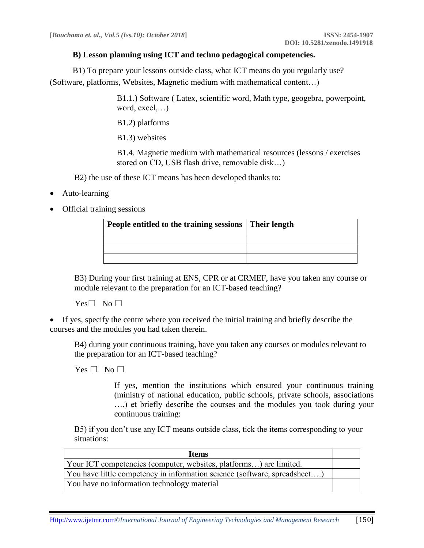#### **B) Lesson planning using ICT and techno pedagogical competencies.**

 B1) To prepare your lessons outside class, what ICT means do you regularly use? (Software, platforms, Websites, Magnetic medium with mathematical content…)

> B1.1.) Software ( Latex, scientific word, Math type, geogebra, powerpoint, word, excel,…)

B1.2) platforms

B1.3) websites

B1.4. Magnetic medium with mathematical resources (lessons / exercises stored on CD, USB flash drive, removable disk…)

B2) the use of these ICT means has been developed thanks to:

- Auto-learning
- Official training sessions

| People entitled to the training sessions | Their length |
|------------------------------------------|--------------|
|                                          |              |
|                                          |              |
|                                          |              |

B3) During your first training at ENS, CPR or at CRMEF, have you taken any course or module relevant to the preparation for an ICT-based teaching?

 $Yes \Box No \Box$ 

• If yes, specify the centre where you received the initial training and briefly describe the courses and the modules you had taken therein.

B4) during your continuous training, have you taken any courses or modules relevant to the preparation for an ICT-based teaching?

 $Yes \Box No \Box$ 

If yes, mention the institutions which ensured your continuous training (ministry of national education, public schools, private schools, associations ….) et briefly describe the courses and the modules you took during your continuous training:

B5) if you don't use any ICT means outside class, tick the items corresponding to your situations:

| <b>Items</b>                                                              |  |
|---------------------------------------------------------------------------|--|
| Your ICT competencies (computer, websites, platforms) are limited.        |  |
| You have little competency in information science (software, spreadsheet) |  |
| You have no information technology material                               |  |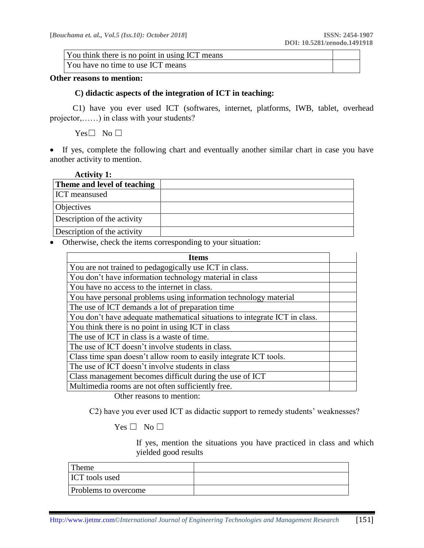You think there is no point in using ICT means

You have no time to use ICT means

#### **Other reasons to mention:**

#### **C) didactic aspects of the integration of ICT in teaching:**

 C1) have you ever used ICT (softwares, internet, platforms, IWB, tablet, overhead projector,……) in class with your students?

Yes□ No □

• If yes, complete the following chart and eventually another similar chart in case you have another activity to mention.

| <b>Activity 1:</b>          |  |
|-----------------------------|--|
| Theme and level of teaching |  |
| ICT meansused               |  |
| <b>Objectives</b>           |  |
| Description of the activity |  |
| Description of the activity |  |

• Otherwise, check the items corresponding to your situation:

| <b>Items</b>                                                               |  |
|----------------------------------------------------------------------------|--|
| You are not trained to pedagogically use ICT in class.                     |  |
| You don't have information technology material in class                    |  |
| You have no access to the internet in class.                               |  |
| You have personal problems using information technology material           |  |
| The use of ICT demands a lot of preparation time                           |  |
| You don't have adequate mathematical situations to integrate ICT in class. |  |
| You think there is no point in using ICT in class                          |  |
| The use of ICT in class is a waste of time.                                |  |
| The use of ICT doesn't involve students in class.                          |  |
| Class time span doesn't allow room to easily integrate ICT tools.          |  |
| The use of ICT doesn't involve students in class                           |  |
| Class management becomes difficult during the use of ICT                   |  |
| Multimedia rooms are not often sufficiently free.                          |  |

Other reasons to mention:

C2) have you ever used ICT as didactic support to remedy students' weaknesses?

 $Yes \Box No \Box$ 

If yes, mention the situations you have practiced in class and which yielded good results

| Theme                       |  |
|-----------------------------|--|
| <b>ICT</b> tools used       |  |
| <b>Problems</b> to overcome |  |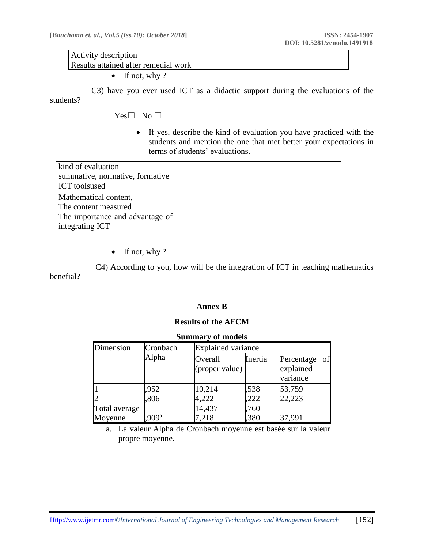| Activity description                 |  |
|--------------------------------------|--|
| Results attained after remedial work |  |
|                                      |  |

• If not, why?

 C3) have you ever used ICT as a didactic support during the evaluations of the students?

Yes□ No □

• If yes, describe the kind of evaluation you have practiced with the students and mention the one that met better your expectations in terms of students' evaluations.

| kind of evaluation              |  |
|---------------------------------|--|
| summative, normative, formative |  |
| <b>ICT</b> toolsused            |  |
| Mathematical content,           |  |
| The content measured            |  |
| The importance and advantage of |  |
| integrating ICT                 |  |

• If not, why?

 C4) According to you, how will be the integration of ICT in teaching mathematics benefial?

#### **Annex B**

#### **Results of the AFCM**

| <b>Summary of models</b> |                  |                           |         |                                        |  |  |  |  |
|--------------------------|------------------|---------------------------|---------|----------------------------------------|--|--|--|--|
| Dimension                | Cronbach         | <b>Explained variance</b> |         |                                        |  |  |  |  |
|                          | Alpha            | Overall<br>(proper value) | Inertia | Percentage of<br>explained<br>variance |  |  |  |  |
|                          | ,952             | 10,214                    | .538    | 53,759                                 |  |  |  |  |
| $\mathbf{D}$             | ,806             | 4,222                     | ,222    | 22,223                                 |  |  |  |  |
| Total average            |                  | 14,437                    | ,760    |                                        |  |  |  |  |
| Moyenne                  | 909 <sup>a</sup> | 218                       | ,380    | 37,991                                 |  |  |  |  |

a. La valeur Alpha de Cronbach moyenne est basée sur la valeur propre moyenne.